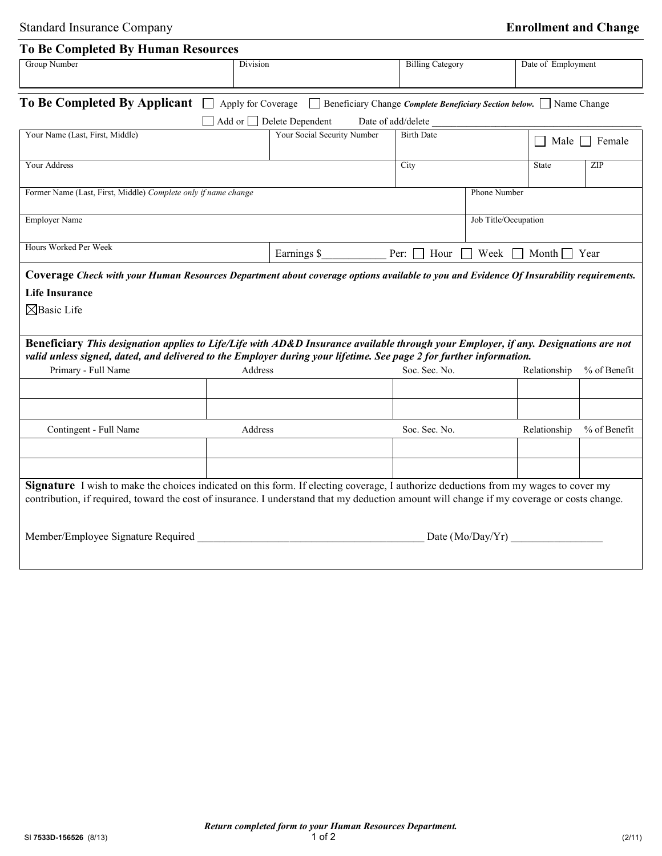| Group Number                                                                                                                                                                                                                                                                             |          |                                |                                                       |              |                    |              |
|------------------------------------------------------------------------------------------------------------------------------------------------------------------------------------------------------------------------------------------------------------------------------------------|----------|--------------------------------|-------------------------------------------------------|--------------|--------------------|--------------|
|                                                                                                                                                                                                                                                                                          | Division |                                | <b>Billing Category</b>                               |              | Date of Employment |              |
| To Be Completed By Applicant   Apply for Coverage   Beneficiary Change Complete Beneficiary Section below.   Name Change                                                                                                                                                                 |          |                                |                                                       |              |                    |              |
|                                                                                                                                                                                                                                                                                          |          | Add or $\Box$ Delete Dependent | Date of add/delete_                                   |              |                    |              |
| Your Name (Last, First, Middle)                                                                                                                                                                                                                                                          |          | Your Social Security Number    | <b>Birth Date</b>                                     |              | Male $\Box$ Female |              |
| <b>Your Address</b>                                                                                                                                                                                                                                                                      |          | City                           |                                                       | <b>State</b> | ZIP                |              |
| Former Name (Last, First, Middle) Complete only if name change                                                                                                                                                                                                                           |          |                                |                                                       | Phone Number |                    |              |
| <b>Employer Name</b>                                                                                                                                                                                                                                                                     |          |                                | Job Title/Occupation                                  |              |                    |              |
| Hours Worked Per Week                                                                                                                                                                                                                                                                    |          | Earnings \$                    | Per: $\Box$ Hour $\Box$ Week $\Box$ Month $\Box$ Year |              |                    |              |
| Coverage Check with your Human Resources Department about coverage options available to you and Evidence Of Insurability requirements.                                                                                                                                                   |          |                                |                                                       |              |                    |              |
| <b>Life Insurance</b>                                                                                                                                                                                                                                                                    |          |                                |                                                       |              |                    |              |
| $\boxtimes$ Basic Life                                                                                                                                                                                                                                                                   |          |                                |                                                       |              |                    |              |
|                                                                                                                                                                                                                                                                                          |          |                                |                                                       |              |                    |              |
| Beneficiary This designation applies to Life/Life with AD&D Insurance available through your Employer, if any. Designations are not<br>valid unless signed, dated, and delivered to the Employer during your lifetime. See page 2 for further information.                               |          |                                |                                                       |              |                    |              |
| Primary - Full Name                                                                                                                                                                                                                                                                      | Address  |                                | Soc. Sec. No.                                         |              | Relationship       | % of Benefit |
|                                                                                                                                                                                                                                                                                          |          |                                |                                                       |              |                    |              |
|                                                                                                                                                                                                                                                                                          |          |                                |                                                       |              |                    |              |
| Contingent - Full Name                                                                                                                                                                                                                                                                   | Address  |                                | Soc. Sec. No.                                         |              | Relationship       | % of Benefit |
|                                                                                                                                                                                                                                                                                          |          |                                |                                                       |              |                    |              |
| <b>Signature</b> I wish to make the choices indicated on this form. If electing coverage, I authorize deductions from my wages to cover my<br>contribution, if required, toward the cost of insurance. I understand that my deduction amount will change if my coverage or costs change. |          |                                |                                                       |              |                    |              |